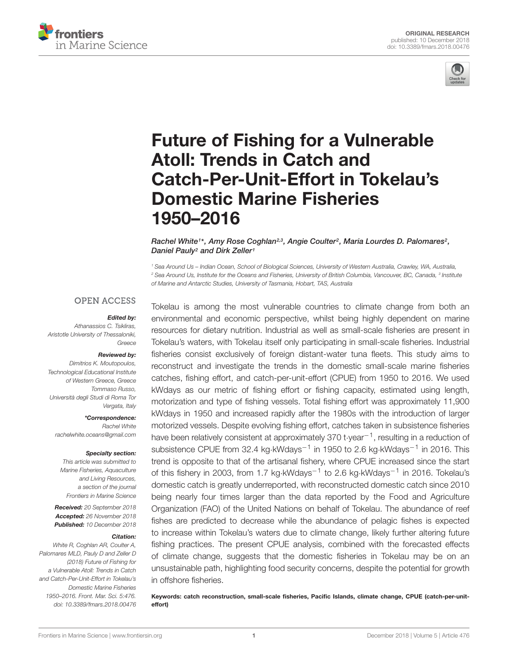



# Future of Fishing for a Vulnerable Atoll: Trends in Catch and [Catch-Per-Unit-Effort in Tokelau's](https://www.frontiersin.org/articles/10.3389/fmars.2018.00476/full) Domestic Marine Fisheries 1950–2016

[Rachel White](http://loop.frontiersin.org/people/459636/overview)1\*, [Amy Rose Coghlan](http://loop.frontiersin.org/people/445262/overview)23, [Angie Coulter](http://loop.frontiersin.org/people/544471/overview)2, [Maria Lourdes D. Palomares](http://loop.frontiersin.org/people/186104/overview)2, [Daniel Pauly](http://loop.frontiersin.org/people/284088/overview)<sup>2</sup> and [Dirk Zeller](http://loop.frontiersin.org/people/317567/overview)<sup>1</sup>

<sup>1</sup> Sea Around Us – Indian Ocean, School of Biological Sciences, University of Western Australia, Crawley, WA, Australia,  $^2$  Sea Around Us, Institute for the Oceans and Fisheries, University of British Columbia, Vancouver, BC, Canada,  $^3$  Institute of Marine and Antarctic Studies, University of Tasmania, Hobart, TAS, Australia

#### **OPEN ACCESS**

#### Edited by:

Athanassios C. Tsikliras, Aristotle University of Thessaloniki, Greece

#### Reviewed by:

Dimitrios K. Moutopoulos, Technological Educational Institute of Western Greece, Greece Tommaso Russo, Università degli Studi di Roma Tor Vergata, Italy

\*Correspondence: Rachel White rachelwhite.oceans@gmail.com

#### Specialty section:

This article was submitted to Marine Fisheries, Aquaculture and Living Resources, a section of the journal Frontiers in Marine Science

Received: 20 September 2018 Accepted: 26 November 2018 Published: 10 December 2018

#### Citation:

White R, Coghlan AR, Coulter A, Palomares MLD, Pauly D and Zeller D (2018) Future of Fishing for a Vulnerable Atoll: Trends in Catch and Catch-Per-Unit-Effort in Tokelau's Domestic Marine Fisheries 1950–2016. Front. Mar. Sci. 5:476. doi: [10.3389/fmars.2018.00476](https://doi.org/10.3389/fmars.2018.00476) Tokelau is among the most vulnerable countries to climate change from both an environmental and economic perspective, whilst being highly dependent on marine resources for dietary nutrition. Industrial as well as small-scale fisheries are present in Tokelau's waters, with Tokelau itself only participating in small-scale fisheries. Industrial fisheries consist exclusively of foreign distant-water tuna fleets. This study aims to reconstruct and investigate the trends in the domestic small-scale marine fisheries catches, fishing effort, and catch-per-unit-effort (CPUE) from 1950 to 2016. We used kWdays as our metric of fishing effort or fishing capacity, estimated using length, motorization and type of fishing vessels. Total fishing effort was approximately 11,900 kWdays in 1950 and increased rapidly after the 1980s with the introduction of larger motorized vessels. Despite evolving fishing effort, catches taken in subsistence fisheries have been relatively consistent at approximately 370 t∙year<sup>-1</sup>, resulting in a reduction of subsistence CPUE from 32.4 kg⋅kWdays<sup>-1</sup> in 1950 to 2.6 kg⋅kWdays<sup>-1</sup> in 2016. This trend is opposite to that of the artisanal fishery, where CPUE increased since the start of this fishery in 2003, from 1.7 kg⋅kWdays<sup>-1</sup> to 2.6 kg⋅kWdays<sup>-1</sup> in 2016. Tokelau's domestic catch is greatly underreported, with reconstructed domestic catch since 2010 being nearly four times larger than the data reported by the Food and Agriculture Organization (FAO) of the United Nations on behalf of Tokelau. The abundance of reef fishes are predicted to decrease while the abundance of pelagic fishes is expected to increase within Tokelau's waters due to climate change, likely further altering future fishing practices. The present CPUE analysis, combined with the forecasted effects of climate change, suggests that the domestic fisheries in Tokelau may be on an unsustainable path, highlighting food security concerns, despite the potential for growth in offshore fisheries.

Keywords: catch reconstruction, small-scale fisheries, Pacific Islands, climate change, CPUE (catch-per-uniteffort)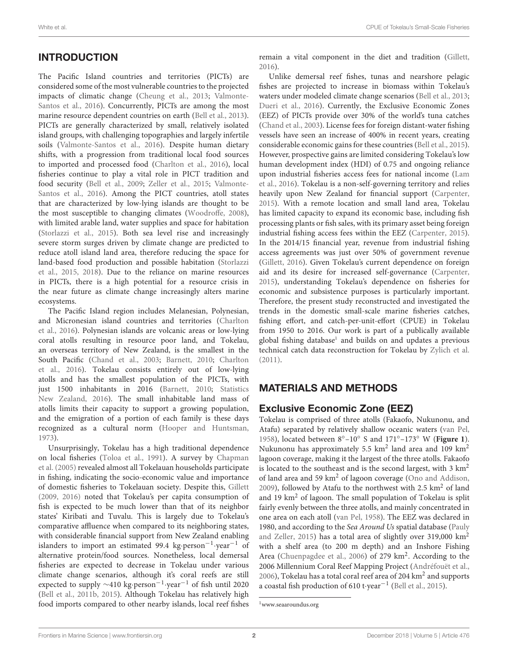# **INTRODUCTION**

The Pacific Island countries and territories (PICTs) are considered some of the most vulnerable countries to the projected impacts of climatic change [\(Cheung et al.,](#page-7-0) [2013;](#page-7-0) [Valmonte-](#page-8-0)[Santos et al.,](#page-8-0) [2016\)](#page-8-0). Concurrently, PICTs are among the most marine resource dependent countries on earth [\(Bell et al.,](#page-7-1) [2013\)](#page-7-1). PICTs are generally characterized by small, relatively isolated island groups, with challenging topographies and largely infertile soils [\(Valmonte-Santos et al.,](#page-8-0) [2016\)](#page-8-0). Despite human dietary shifts, with a progression from traditional local food sources to imported and processed food [\(Charlton et al.,](#page-7-2) [2016\)](#page-7-2), local fisheries continue to play a vital role in PICT tradition and food security [\(Bell et al.,](#page-7-3) [2009;](#page-7-3) [Zeller et al.,](#page-8-1) [2015;](#page-8-1) [Valmonte-](#page-8-0)[Santos et al.,](#page-8-0) [2016\)](#page-8-0). Among the PICT countries, atoll states that are characterized by low-lying islands are thought to be the most susceptible to changing climates [\(Woodroffe,](#page-8-2) [2008\)](#page-8-2), with limited arable land, water supplies and space for habitation [\(Storlazzi et al.,](#page-8-3) [2015\)](#page-8-3). Both sea level rise and increasingly severe storm surges driven by climate change are predicted to reduce atoll island land area, therefore reducing the space for land-based food production and possible habitation [\(Storlazzi](#page-8-3) [et al.,](#page-8-3) [2015,](#page-8-3) [2018\)](#page-8-4). Due to the reliance on marine resources in PICTs, there is a high potential for a resource crisis in the near future as climate change increasingly alters marine ecosystems.

The Pacific Island region includes Melanesian, Polynesian, and Micronesian island countries and territories [\(Charlton](#page-7-2) [et al.,](#page-7-2) [2016\)](#page-7-2). Polynesian islands are volcanic areas or low-lying coral atolls resulting in resource poor land, and Tokelau, an overseas territory of New Zealand, is the smallest in the South Pacific [\(Chand et al.,](#page-7-4) [2003;](#page-7-4) [Barnett,](#page-7-5) [2010;](#page-7-5) [Charlton](#page-7-2) [et al.,](#page-7-2) [2016\)](#page-7-2). Tokelau consists entirely out of low-lying atolls and has the smallest population of the PICTs, with just 1500 inhabitants in 2016 [\(Barnett,](#page-7-5) [2010;](#page-7-5) [Statistics](#page-8-5) [New Zealand,](#page-8-5) [2016\)](#page-8-5). The small inhabitable land mass of atolls limits their capacity to support a growing population, and the emigration of a portion of each family is these days recognized as a cultural norm [\(Hooper and Huntsman,](#page-7-6) [1973\)](#page-7-6).

Unsurprisingly, Tokelau has a high traditional dependence on local fisheries [\(Toloa et al.,](#page-8-6) [1991\)](#page-8-6). A survey by [Chapman](#page-7-7) [et al.](#page-7-7) [\(2005\)](#page-7-7) revealed almost all Tokelauan households participate in fishing, indicating the socio-economic value and importance of domestic fisheries to Tokelauan society. Despite this, [Gillett](#page-7-8) [\(2009,](#page-7-8) [2016\)](#page-7-9) noted that Tokelau's per capita consumption of fish is expected to be much lower than that of its neighbor states' Kiribati and Tuvalu. This is largely due to Tokelau's comparative affluence when compared to its neighboring states, with considerable financial support from New Zealand enabling islanders to import an estimated 99.4 kg·person−<sup>1</sup> ·year−<sup>1</sup> of alternative protein/food sources. Nonetheless, local demersal fisheries are expected to decrease in Tokelau under various climate change scenarios, although it's coral reefs are still expected to supply ∼410 kg·person−<sup>1</sup> ·year−<sup>1</sup> of fish until 2020 [\(Bell et al.,](#page-7-10) [2011b,](#page-7-10) [2015\)](#page-7-11). Although Tokelau has relatively high food imports compared to other nearby islands, local reef fishes

remain a vital component in the diet and tradition [\(Gillett,](#page-7-9) [2016\)](#page-7-9).

Unlike demersal reef fishes, tunas and nearshore pelagic fishes are projected to increase in biomass within Tokelau's waters under modeled climate change scenarios [\(Bell et al.,](#page-7-1) [2013;](#page-7-1) [Dueri et al.,](#page-7-12) [2016\)](#page-7-12). Currently, the Exclusive Economic Zones (EEZ) of PICTs provide over 30% of the world's tuna catches [\(Chand et al.,](#page-7-4) [2003\)](#page-7-4). License fees for foreign distant-water fishing vessels have seen an increase of 400% in recent years, creating considerable economic gains for these countries [\(Bell et al.,](#page-7-11) [2015\)](#page-7-11). However, prospective gains are limited considering Tokelau's low human development index (HDI) of 0.75 and ongoing reliance upon industrial fisheries access fees for national income [\(Lam](#page-7-13) [et al.,](#page-7-13) [2016\)](#page-7-13). Tokelau is a non-self-governing territory and relies heavily upon New Zealand for financial support [\(Carpenter,](#page-7-14) [2015\)](#page-7-14). With a remote location and small land area, Tokelau has limited capacity to expand its economic base, including fish processing plants or fish sales, with its primary asset being foreign industrial fishing access fees within the EEZ [\(Carpenter,](#page-7-14) [2015\)](#page-7-14). In the 2014/15 financial year, revenue from industrial fishing access agreements was just over 50% of government revenue [\(Gillett,](#page-7-9) [2016\)](#page-7-9). Given Tokelau's current dependence on foreign aid and its desire for increased self-governance [\(Carpenter,](#page-7-14) [2015\)](#page-7-14), understanding Tokelau's dependence on fisheries for economic and subsistence purposes is particularly important. Therefore, the present study reconstructed and investigated the trends in the domestic small-scale marine fisheries catches, fishing effort, and catch-per-unit-effort (CPUE) in Tokelau from 1950 to 2016. Our work is part of a publically available global fishing database<sup>[1](#page-1-0)</sup> and builds on and updates a previous technical catch data reconstruction for Tokelau by [Zylich et al.](#page-8-7) [\(2011\)](#page-8-7).

### MATERIALS AND METHODS

### Exclusive Economic Zone (EEZ)

Tokelau is comprised of three atolls (Fakaofo, Nukunonu, and Atafu) separated by relatively shallow oceanic waters [\(van Pel,](#page-8-8) [1958\)](#page-8-8), located between 8◦–10◦ S and 171◦–173◦ W (**[Figure 1](#page-2-0)**). Nukunonu has approximately 5.5 km<sup>2</sup> land area and 109 km<sup>2</sup> lagoon coverage, making it the largest of the three atolls. Fakaofo is located to the southeast and is the second largest, with  $3 \text{ km}^2$ of land area and 59 km<sup>2</sup> of lagoon coverage [\(Ono and Addison,](#page-8-9) [2009\)](#page-8-9), followed by Atafu to the northwest with  $2.5 \text{ km}^2$  of land and 19  $km<sup>2</sup>$  of lagoon. The small population of Tokelau is split fairly evenly between the three atolls, and mainly concentrated in one area on each atoll [\(van Pel,](#page-8-8) [1958\)](#page-8-8). The EEZ was declared in 1980, and according to the Sea Around Us spatial database [\(Pauly](#page-8-10) [and Zeller,](#page-8-10) [2015\)](#page-8-10) has a total area of slightly over 319,000  $\text{km}^2$ with a shelf area (to 200 m depth) and an Inshore Fishing Area [\(Chuenpagdee et al.,](#page-7-15) [2006\)](#page-7-15) of 279 km<sup>2</sup>. According to the 2006 Millennium Coral Reef Mapping Project [\(Andréfouët et al.,](#page-7-16) [2006\)](#page-7-16), Tokelau has a total coral reef area of 204 km<sup>2</sup> and supports a coastal fish production of 610 t·year−<sup>1</sup> [\(Bell et al.,](#page-7-11) [2015\)](#page-7-11).

<span id="page-1-0"></span><sup>1</sup>[www.seaaroundus.org](http://www.seaaroundus.org)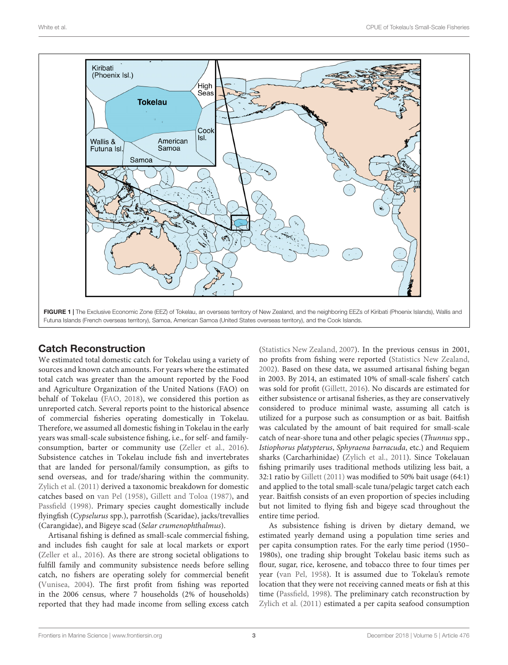

#### <span id="page-2-0"></span>Catch Reconstruction

We estimated total domestic catch for Tokelau using a variety of sources and known catch amounts. For years where the estimated total catch was greater than the amount reported by the Food and Agriculture Organization of the United Nations (FAO) on behalf of Tokelau [\(FAO,](#page-7-17) [2018\)](#page-7-17), we considered this portion as unreported catch. Several reports point to the historical absence of commercial fisheries operating domestically in Tokelau. Therefore, we assumed all domestic fishing in Tokelau in the early years was small-scale subsistence fishing, i.e., for self- and familyconsumption, barter or community use [\(Zeller et al.,](#page-8-11) [2016\)](#page-8-11). Subsistence catches in Tokelau include fish and invertebrates that are landed for personal/family consumption, as gifts to send overseas, and for trade/sharing within the community. [Zylich et al.](#page-8-7) [\(2011\)](#page-8-7) derived a taxonomic breakdown for domestic catches based on [van Pel](#page-8-8) [\(1958\)](#page-8-8), [Gillett and Toloa](#page-7-18) [\(1987\)](#page-7-18), and [Passfield](#page-8-12) [\(1998\)](#page-8-12). Primary species caught domestically include flyingfish (Cypselurus spp.), parrotfish (Scaridae), jacks/trevallies (Carangidae), and Bigeye scad (Selar crumenophthalmus).

Artisanal fishing is defined as small-scale commercial fishing, and includes fish caught for sale at local markets or export [\(Zeller et al.,](#page-8-11) [2016\)](#page-8-11). As there are strong societal obligations to fulfill family and community subsistence needs before selling catch, no fishers are operating solely for commercial benefit [\(Vunisea,](#page-8-13) [2004\)](#page-8-13). The first profit from fishing was reported in the 2006 census, where 7 households (2% of households) reported that they had made income from selling excess catch

[\(Statistics New Zealand,](#page-8-14) [2007\)](#page-8-14). In the previous census in 2001, no profits from fishing were reported [\(Statistics New Zealand,](#page-8-15) [2002\)](#page-8-15). Based on these data, we assumed artisanal fishing began in 2003. By 2014, an estimated 10% of small-scale fishers' catch was sold for profit [\(Gillett,](#page-7-9) [2016\)](#page-7-9). No discards are estimated for either subsistence or artisanal fisheries, as they are conservatively considered to produce minimal waste, assuming all catch is utilized for a purpose such as consumption or as bait. Baitfish was calculated by the amount of bait required for small-scale catch of near-shore tuna and other pelagic species (Thunnus spp., Istiophorus platypterus, Sphyraena barracuda, etc.) and Requiem sharks (Carcharhinidae) [\(Zylich et al.,](#page-8-7) [2011\)](#page-8-7). Since Tokelauan fishing primarily uses traditional methods utilizing less bait, a 32:1 ratio by [Gillett](#page-7-19) [\(2011\)](#page-7-19) was modified to 50% bait usage (64:1) and applied to the total small-scale tuna/pelagic target catch each year. Baitfish consists of an even proportion of species including but not limited to flying fish and bigeye scad throughout the entire time period.

As subsistence fishing is driven by dietary demand, we estimated yearly demand using a population time series and per capita consumption rates. For the early time period (1950– 1980s), one trading ship brought Tokelau basic items such as flour, sugar, rice, kerosene, and tobacco three to four times per year [\(van Pel,](#page-8-8) [1958\)](#page-8-8). It is assumed due to Tokelau's remote location that they were not receiving canned meats or fish at this time [\(Passfield,](#page-8-12) [1998\)](#page-8-12). The preliminary catch reconstruction by [Zylich et al.](#page-8-7) [\(2011\)](#page-8-7) estimated a per capita seafood consumption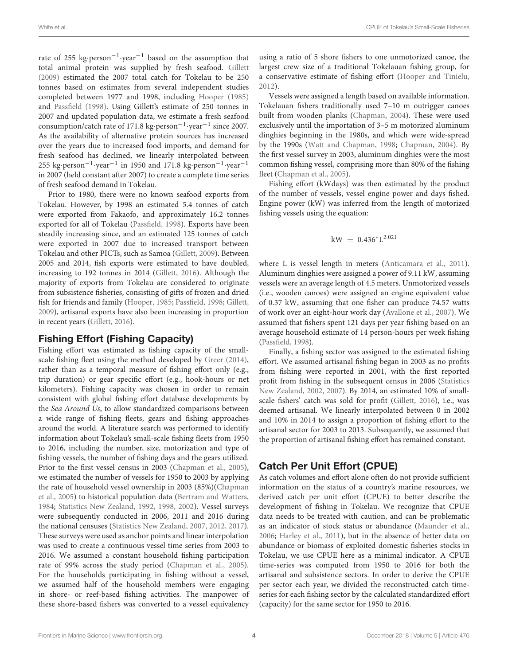rate of 255 kg·person−<sup>1</sup> ·year−<sup>1</sup> based on the assumption that total animal protein was supplied by fresh seafood. [Gillett](#page-7-8) [\(2009\)](#page-7-8) estimated the 2007 total catch for Tokelau to be 250 tonnes based on estimates from several independent studies completed between 1977 and 1998, including [Hooper](#page-7-20) [\(1985\)](#page-7-20) and [Passfield](#page-8-12) [\(1998\)](#page-8-12). Using Gillett's estimate of 250 tonnes in 2007 and updated population data, we estimate a fresh seafood consumption/catch rate of 171.8 kg·person−<sup>1</sup> ·year−<sup>1</sup> since 2007. As the availability of alternative protein sources has increased over the years due to increased food imports, and demand for fresh seafood has declined, we linearly interpolated between 255 kg·person<sup>-1</sup>·year<sup>-1</sup> in 1950 and 171.8 kg·person<sup>-1</sup>·year<sup>-1</sup> in 2007 (held constant after 2007) to create a complete time series of fresh seafood demand in Tokelau.

Prior to 1980, there were no known seafood exports from Tokelau. However, by 1998 an estimated 5.4 tonnes of catch were exported from Fakaofo, and approximately 16.2 tonnes exported for all of Tokelau [\(Passfield,](#page-8-12) [1998\)](#page-8-12). Exports have been steadily increasing since, and an estimated 125 tonnes of catch were exported in 2007 due to increased transport between Tokelau and other PICTs, such as Samoa [\(Gillett,](#page-7-8) [2009\)](#page-7-8). Between 2005 and 2014, fish exports were estimated to have doubled, increasing to 192 tonnes in 2014 [\(Gillett,](#page-7-9) [2016\)](#page-7-9). Although the majority of exports from Tokelau are considered to originate from subsistence fisheries, consisting of gifts of frozen and dried fish for friends and family [\(Hooper,](#page-7-20) [1985;](#page-7-20) [Passfield,](#page-8-12) [1998;](#page-8-12) [Gillett,](#page-7-8) [2009\)](#page-7-8), artisanal exports have also been increasing in proportion in recent years [\(Gillett,](#page-7-9) [2016\)](#page-7-9).

#### Fishing Effort (Fishing Capacity)

Fishing effort was estimated as fishing capacity of the smallscale fishing fleet using the method developed by [Greer](#page-7-21) [\(2014\)](#page-7-21), rather than as a temporal measure of fishing effort only (e.g., trip duration) or gear specific effort (e.g., hook-hours or net kilometers). Fishing capacity was chosen in order to remain consistent with global fishing effort database developments by the Sea Around Us, to allow standardized comparisons between a wide range of fishing fleets, gears and fishing approaches around the world. A literature search was performed to identify information about Tokelau's small-scale fishing fleets from 1950 to 2016, including the number, size, motorization and type of fishing vessels, the number of fishing days and the gears utilized. Prior to the first vessel census in 2003 [\(Chapman et al.,](#page-7-7) [2005\)](#page-7-7), we estimated the number of vessels for 1950 to 2003 by applying the rate of household vessel ownership in 2003 (85%)[\(Chapman](#page-7-7) [et al.,](#page-7-7) [2005\)](#page-7-7) to historical population data [\(Bertram and Watters,](#page-7-22) [1984;](#page-7-22) [Statistics New Zealand,](#page-8-16) [1992,](#page-8-16) [1998,](#page-8-17) [2002\)](#page-8-15). Vessel surveys were subsequently conducted in 2006, 2011 and 2016 during the national censuses [\(Statistics New Zealand,](#page-8-14) [2007,](#page-8-14) [2012,](#page-8-18) [2017\)](#page-8-19). These surveys were used as anchor points and linear interpolation was used to create a continuous vessel time series from 2003 to 2016. We assumed a constant household fishing participation rate of 99% across the study period [\(Chapman et al.,](#page-7-7) [2005\)](#page-7-7). For the households participating in fishing without a vessel, we assumed half of the household members were engaging in shore- or reef-based fishing activities. The manpower of these shore-based fishers was converted to a vessel equivalency using a ratio of 5 shore fishers to one unmotorized canoe, the largest crew size of a traditional Tokelauan fishing group, for a conservative estimate of fishing effort [\(Hooper and Tinielu,](#page-7-23) [2012\)](#page-7-23).

Vessels were assigned a length based on available information. Tokelauan fishers traditionally used 7–10 m outrigger canoes built from wooden planks [\(Chapman,](#page-7-24) [2004\)](#page-7-24). These were used exclusively until the importation of 3–5 m motorized aluminum dinghies beginning in the 1980s, and which were wide-spread by the 1990s [\(Watt and Chapman,](#page-8-20) [1998;](#page-8-20) [Chapman,](#page-7-24) [2004\)](#page-7-24). By the first vessel survey in 2003, aluminum dinghies were the most common fishing vessel, comprising more than 80% of the fishing fleet [\(Chapman et al.,](#page-7-7) [2005\)](#page-7-7).

Fishing effort (kWdays) was then estimated by the product of the number of vessels, vessel engine power and days fished. Engine power (kW) was inferred from the length of motorized fishing vessels using the equation:

$$
kW\,=\,0.436^{*}L^{2.021}
$$

where L is vessel length in meters [\(Anticamara et al.,](#page-7-25) [2011\)](#page-7-25). Aluminum dinghies were assigned a power of 9.11 kW, assuming vessels were an average length of 4.5 meters. Unmotorized vessels (i.e., wooden canoes) were assigned an engine equivalent value of 0.37 kW, assuming that one fisher can produce 74.57 watts of work over an eight-hour work day [\(Avallone et al.,](#page-7-26) [2007\)](#page-7-26). We assumed that fishers spent 121 days per year fishing based on an average household estimate of 14 person-hours per week fishing [\(Passfield,](#page-8-12) [1998\)](#page-8-12).

Finally, a fishing sector was assigned to the estimated fishing effort. We assumed artisanal fishing began in 2003 as no profits from fishing were reported in 2001, with the first reported profit from fishing in the subsequent census in 2006 [\(Statistics](#page-8-15) [New Zealand,](#page-8-15) [2002,](#page-8-15) [2007\)](#page-8-14). By 2014, an estimated 10% of smallscale fishers' catch was sold for profit [\(Gillett,](#page-7-9) [2016\)](#page-7-9), i.e., was deemed artisanal. We linearly interpolated between 0 in 2002 and 10% in 2014 to assign a proportion of fishing effort to the artisanal sector for 2003 to 2013. Subsequently, we assumed that the proportion of artisanal fishing effort has remained constant.

### Catch Per Unit Effort (CPUE)

As catch volumes and effort alone often do not provide sufficient information on the status of a country's marine resources, we derived catch per unit effort (CPUE) to better describe the development of fishing in Tokelau. We recognize that CPUE data needs to be treated with caution, and can be problematic as an indicator of stock status or abundance [\(Maunder et al.,](#page-8-21) [2006;](#page-8-21) [Harley et al.,](#page-7-27) [2011\)](#page-7-27), but in the absence of better data on abundance or biomass of exploited domestic fisheries stocks in Tokelau, we use CPUE here as a minimal indicator. A CPUE time-series was computed from 1950 to 2016 for both the artisanal and subsistence sectors. In order to derive the CPUE per sector each year, we divided the reconstructed catch timeseries for each fishing sector by the calculated standardized effort (capacity) for the same sector for 1950 to 2016.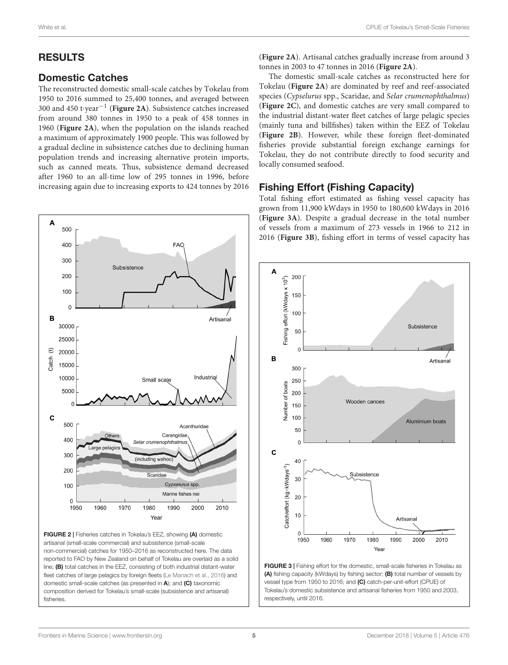# RESULTS

#### Domestic Catches

The reconstructed domestic small-scale catches by Tokelau from 1950 to 2016 summed to 25,400 tonnes, and averaged between 300 and 450 t·year−<sup>1</sup> (**[Figure 2A](#page-4-0)**). Subsistence catches increased from around 380 tonnes in 1950 to a peak of 458 tonnes in 1960 (**[Figure 2A](#page-4-0)**), when the population on the islands reached a maximum of approximately 1900 people. This was followed by a gradual decline in subsistence catches due to declining human population trends and increasing alternative protein imports, such as canned meats. Thus, subsistence demand decreased after 1960 to an all-time low of 295 tonnes in 1996, before increasing again due to increasing exports to 424 tonnes by 2016



<span id="page-4-0"></span>FIGURE 2 | Fisheries catches in Tokelau's EEZ, showing (A) domestic artisanal (small-scale commercial) and subsistence (small-scale non-commercial) catches for 1950–2016 as reconstructed here. The data reported to FAO by New Zealand on behalf of Tokelau are overlaid as a solid line; (B) total catches in the EEZ, consisting of both industrial distant-water fleet catches of large pelagics by foreign fleets [\(Le Manach et al.,](#page-7-28) [2016\)](#page-7-28) and domestic small-scale catches (as presented in A); and (C) taxonomic composition derived for Tokelau's small-scale (subsistence and artisanal) fisheries.

(**[Figure 2A](#page-4-0)**). Artisanal catches gradually increase from around 3 tonnes in 2003 to 47 tonnes in 2016 (**[Figure 2A](#page-4-0)**).

The domestic small-scale catches as reconstructed here for Tokelau (**[Figure 2A](#page-4-0)**) are dominated by reef and reef-associated species (Cypselurus spp., Scaridae, and Selar crumenophthalmus) (**[Figure 2C](#page-4-0)**), and domestic catches are very small compared to the industrial distant-water fleet catches of large pelagic species (mainly tuna and billfishes) taken within the EEZ of Tokelau (**[Figure 2B](#page-4-0)**). However, while these foreign fleet-dominated fisheries provide substantial foreign exchange earnings for Tokelau, they do not contribute directly to food security and locally consumed seafood.

# Fishing Effort (Fishing Capacity)

Total fishing effort estimated as fishing vessel capacity has grown from 11,900 kWdays in 1950 to 180,600 kWdays in 2016 (**[Figure 3A](#page-4-1)**). Despite a gradual decrease in the total number of vessels from a maximum of 273 vessels in 1966 to 212 in 2016 (**[Figure 3B](#page-4-1)**), fishing effort in terms of vessel capacity has



<span id="page-4-1"></span>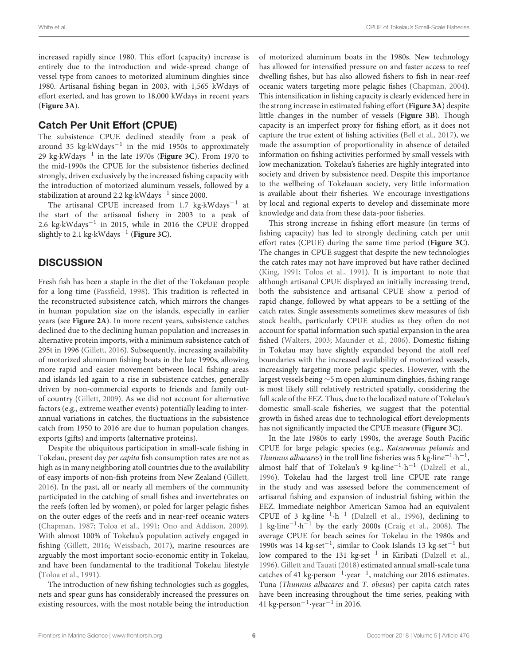increased rapidly since 1980. This effort (capacity) increase is entirely due to the introduction and wide-spread change of vessel type from canoes to motorized aluminum dinghies since 1980. Artisanal fishing began in 2003, with 1,565 kWdays of effort exerted, and has grown to 18,000 kWdays in recent years (**[Figure 3A](#page-4-1)**).

#### Catch Per Unit Effort (CPUE)

The subsistence CPUE declined steadily from a peak of around 35 kg·kWdays−<sup>1</sup> in the mid 1950s to approximately 29 kg·kWdays−<sup>1</sup> in the late 1970s (**[Figure 3C](#page-4-1)**). From 1970 to the mid-1990s the CPUE for the subsistence fisheries declined strongly, driven exclusively by the increased fishing capacity with the introduction of motorized aluminum vessels, followed by a stabilization at around 2.2 kg⋅kWdays<sup>-1</sup> since 2000.

The artisanal CPUE increased from 1.7 kg·kWdays−<sup>1</sup> at the start of the artisanal fishery in 2003 to a peak of 2.6 kg·kWdays−<sup>1</sup> in 2015, while in 2016 the CPUE dropped slightly to 2.1 kg·kWdays−<sup>1</sup> (**[Figure 3C](#page-4-1)**).

### **DISCUSSION**

Fresh fish has been a staple in the diet of the Tokelauan people for a long time [\(Passfield,](#page-8-12) [1998\)](#page-8-12). This tradition is reflected in the reconstructed subsistence catch, which mirrors the changes in human population size on the islands, especially in earlier years (see **[Figure 2A](#page-4-0)**). In more recent years, subsistence catches declined due to the declining human population and increases in alternative protein imports, with a minimum subsistence catch of 295t in 1996 [\(Gillett,](#page-7-9) [2016\)](#page-7-9). Subsequently, increasing availability of motorized aluminum fishing boats in the late 1990s, allowing more rapid and easier movement between local fishing areas and islands led again to a rise in subsistence catches, generally driven by non-commercial exports to friends and family outof country [\(Gillett,](#page-7-8) [2009\)](#page-7-8). As we did not account for alternative factors (e.g., extreme weather events) potentially leading to interannual variations in catches, the fluctuations in the subsistence catch from 1950 to 2016 are due to human population changes, exports (gifts) and imports (alternative proteins).

Despite the ubiquitous participation in small-scale fishing in Tokelau, present day per capita fish consumption rates are not as high as in many neighboring atoll countries due to the availability of easy imports of non-fish proteins from New Zealand [\(Gillett,](#page-7-9) [2016\)](#page-7-9). In the past, all or nearly all members of the community participated in the catching of small fishes and invertebrates on the reefs (often led by women), or poled for larger pelagic fishes on the outer edges of the reefs and in near-reef oceanic waters [\(Chapman,](#page-7-29) [1987;](#page-7-29) [Toloa et al.,](#page-8-6) [1991;](#page-8-6) [Ono and Addison,](#page-8-9) [2009\)](#page-8-9). With almost 100% of Tokelau's population actively engaged in fishing [\(Gillett,](#page-7-9) [2016;](#page-7-9) [Weissbach,](#page-8-22) [2017\)](#page-8-22), marine resources are arguably the most important socio-economic entity in Tokelau, and have been fundamental to the traditional Tokelau lifestyle [\(Toloa et al.,](#page-8-6) [1991\)](#page-8-6).

The introduction of new fishing technologies such as goggles, nets and spear guns has considerably increased the pressures on existing resources, with the most notable being the introduction of motorized aluminum boats in the 1980s. New technology has allowed for intensified pressure on and faster access to reef dwelling fishes, but has also allowed fishers to fish in near-reef oceanic waters targeting more pelagic fishes [\(Chapman,](#page-7-24) [2004\)](#page-7-24). This intensification in fishing capacity is clearly evidenced here in the strong increase in estimated fishing effort (**[Figure 3A](#page-4-1)**) despite little changes in the number of vessels (**[Figure 3B](#page-4-1)**). Though capacity is an imperfect proxy for fishing effort, as it does not capture the true extent of fishing activities [\(Bell et al.,](#page-7-30) [2017\)](#page-7-30), we made the assumption of proportionality in absence of detailed information on fishing activities performed by small vessels with low mechanization. Tokelau's fisheries are highly integrated into society and driven by subsistence need. Despite this importance to the wellbeing of Tokelauan society, very little information is available about their fisheries. We encourage investigations by local and regional experts to develop and disseminate more knowledge and data from these data-poor fisheries.

This strong increase in fishing effort measure (in terms of fishing capacity) has led to strongly declining catch per unit effort rates (CPUE) during the same time period (**[Figure 3C](#page-4-1)**). The changes in CPUE suggest that despite the new technologies the catch rates may not have improved but have rather declined [\(King,](#page-7-31) [1991;](#page-7-31) [Toloa et al.,](#page-8-6) [1991\)](#page-8-6). It is important to note that although artisanal CPUE displayed an initially increasing trend, both the subsistence and artisanal CPUE show a period of rapid change, followed by what appears to be a settling of the catch rates. Single assessments sometimes skew measures of fish stock health, particularly CPUE studies as they often do not account for spatial information such spatial expansion in the area fished [\(Walters,](#page-8-23) [2003;](#page-8-23) [Maunder et al.,](#page-8-21) [2006\)](#page-8-21). Domestic fishing in Tokelau may have slightly expanded beyond the atoll reef boundaries with the increased availability of motorized vessels, increasingly targeting more pelagic species. However, with the largest vessels being ∼5 m open aluminum dinghies, fishing range is most likely still relatively restricted spatially, considering the full scale of the EEZ. Thus, due to the localized nature of Tokelau's domestic small-scale fisheries, we suggest that the potential growth in fished areas due to technological effort developments has not significantly impacted the CPUE measure (**[Figure 3C](#page-4-1)**).

In the late 1980s to early 1990s, the average South Pacific CPUE for large pelagic species (e.g., Katsuwonus pelamis and Thunnus albacares) in the troll line fisheries was 5 kg·line<sup>-1</sup>·h<sup>-1</sup>, almost half that of Tokelau's 9 kg·line<sup>-1</sup>·h<sup>-1</sup> [\(Dalzell et al.,](#page-7-32) [1996\)](#page-7-32). Tokelau had the largest troll line CPUE rate range in the study and was assessed before the commencement of artisanal fishing and expansion of industrial fishing within the EEZ. Immediate neighbor American Samoa had an equivalent CPUE of 3 kg·line<sup>-1</sup>·h<sup>-1</sup> [\(Dalzell et al.,](#page-7-32) [1996\)](#page-7-32), declining to 1 kg·line−<sup>1</sup> ·h <sup>−</sup><sup>1</sup> by the early 2000s [\(Craig et al.,](#page-7-33) [2008\)](#page-7-33). The average CPUE for beach seines for Tokelau in the 1980s and 1990s was 14 kg·set−<sup>1</sup> , similar to Cook Islands 13 kg·set−<sup>1</sup> but low compared to the 131 kg·set−<sup>1</sup> in Kiribati [\(Dalzell et al.,](#page-7-32) [1996\)](#page-7-32). [Gillett and Tauati](#page-7-34) [\(2018\)](#page-7-34) estimated annual small-scale tuna catches of 41 kg·person−<sup>1</sup> ·year−<sup>1</sup> , matching our 2016 estimates. Tuna (Thunnus albacares and T. obesus) per capita catch rates have been increasing throughout the time series, peaking with 41 kg·person−<sup>1</sup> ·year−<sup>1</sup> in 2016.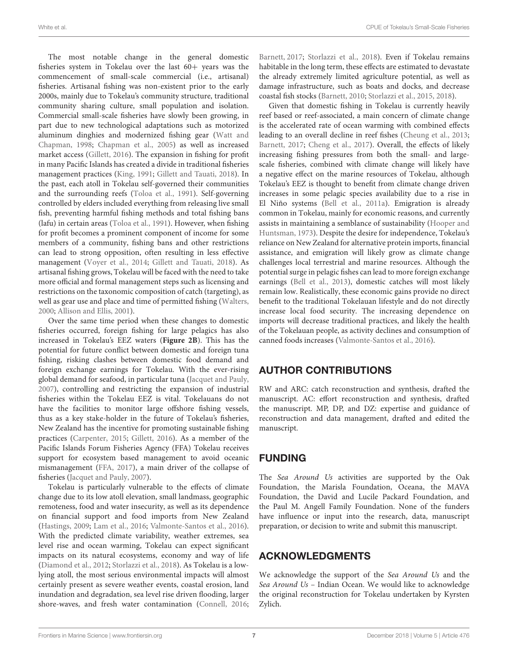The most notable change in the general domestic fisheries system in Tokelau over the last 60+ years was the commencement of small-scale commercial (i.e., artisanal) fisheries. Artisanal fishing was non-existent prior to the early 2000s, mainly due to Tokelau's community structure, traditional community sharing culture, small population and isolation. Commercial small-scale fisheries have slowly been growing, in part due to new technological adaptations such as motorized aluminum dinghies and modernized fishing gear [\(Watt and](#page-8-20) [Chapman,](#page-8-20) [1998;](#page-8-20) [Chapman et al.,](#page-7-7) [2005\)](#page-7-7) as well as increased market access [\(Gillett,](#page-7-9) [2016\)](#page-7-9). The expansion in fishing for profit in many Pacific Islands has created a divide in traditional fisheries management practices [\(King,](#page-7-31) [1991;](#page-7-31) [Gillett and Tauati,](#page-7-34) [2018\)](#page-7-34). In the past, each atoll in Tokelau self-governed their communities and the surrounding reefs [\(Toloa et al.,](#page-8-6) [1991\)](#page-8-6). Self-governing controlled by elders included everything from releasing live small fish, preventing harmful fishing methods and total fishing bans (lafu) in certain areas [\(Toloa et al.,](#page-8-6) [1991\)](#page-8-6). However, when fishing for profit becomes a prominent component of income for some members of a community, fishing bans and other restrictions can lead to strong opposition, often resulting in less effective management [\(Voyer et al.,](#page-8-24) [2014;](#page-8-24) [Gillett and Tauati,](#page-7-34) [2018\)](#page-7-34). As artisanal fishing grows, Tokelau will be faced with the need to take more official and formal management steps such as licensing and restrictions on the taxonomic composition of catch (targeting), as well as gear use and place and time of permitted fishing [\(Walters,](#page-8-25) [2000;](#page-8-25) [Allison and Ellis,](#page-7-35) [2001\)](#page-7-35).

Over the same time period when these changes to domestic fisheries occurred, foreign fishing for large pelagics has also increased in Tokelau's EEZ waters (**[Figure 2B](#page-4-0)**). This has the potential for future conflict between domestic and foreign tuna fishing, risking clashes between domestic food demand and foreign exchange earnings for Tokelau. With the ever-rising global demand for seafood, in particular tuna [\(Jacquet and Pauly,](#page-7-36) [2007\)](#page-7-36), controlling and restricting the expansion of industrial fisheries within the Tokelau EEZ is vital. Tokelauans do not have the facilities to monitor large offshore fishing vessels, thus as a key stake-holder in the future of Tokelau's fisheries, New Zealand has the incentive for promoting sustainable fishing practices [\(Carpenter,](#page-7-14) [2015;](#page-7-14) [Gillett,](#page-7-9) [2016\)](#page-7-9). As a member of the Pacific Islands Forum Fisheries Agency (FFA) Tokelau receives support for ecosystem based management to avoid oceanic mismanagement [\(FFA,](#page-7-37) [2017\)](#page-7-37), a main driver of the collapse of fisheries [\(Jacquet and Pauly,](#page-7-36) [2007\)](#page-7-36).

Tokelau is particularly vulnerable to the effects of climate change due to its low atoll elevation, small landmass, geographic remoteness, food and water insecurity, as well as its dependence on financial support and food imports from New Zealand [\(Hastings,](#page-7-38) [2009;](#page-7-38) [Lam et al.,](#page-7-13) [2016;](#page-7-13) [Valmonte-Santos et al.,](#page-8-0) [2016\)](#page-8-0). With the predicted climate variability, weather extremes, sea level rise and ocean warming, Tokelau can expect significant impacts on its natural ecosystems, economy and way of life [\(Diamond et al.,](#page-7-39) [2012;](#page-7-39) [Storlazzi et al.,](#page-8-4) [2018\)](#page-8-4). As Tokelau is a lowlying atoll, the most serious environmental impacts will almost certainly present as severe weather events, coastal erosion, land inundation and degradation, sea level rise driven flooding, larger shore-waves, and fresh water contamination [\(Connell,](#page-7-40) [2016;](#page-7-40)

[Barnett,](#page-7-41) [2017;](#page-7-41) [Storlazzi et al.,](#page-8-4) [2018\)](#page-8-4). Even if Tokelau remains habitable in the long term, these effects are estimated to devastate the already extremely limited agriculture potential, as well as damage infrastructure, such as boats and docks, and decrease coastal fish stocks [\(Barnett,](#page-7-5) [2010;](#page-7-5) [Storlazzi et al.,](#page-8-3) [2015,](#page-8-3) [2018\)](#page-8-4).

Given that domestic fishing in Tokelau is currently heavily reef based or reef-associated, a main concern of climate change is the accelerated rate of ocean warming with combined effects leading to an overall decline in reef fishes [\(Cheung et al.,](#page-7-0) [2013;](#page-7-0) [Barnett,](#page-7-41) [2017;](#page-7-41) [Cheng et al.,](#page-7-42) [2017\)](#page-7-42). Overall, the effects of likely increasing fishing pressures from both the small- and largescale fisheries, combined with climate change will likely have a negative effect on the marine resources of Tokelau, although Tokelau's EEZ is thought to benefit from climate change driven increases in some pelagic species availability due to a rise in El Niño systems [\(Bell et al.,](#page-7-43) [2011a\)](#page-7-43). Emigration is already common in Tokelau, mainly for economic reasons, and currently assists in maintaining a semblance of sustainability [\(Hooper and](#page-7-6) [Huntsman,](#page-7-6) [1973\)](#page-7-6). Despite the desire for independence, Tokelau's reliance on New Zealand for alternative protein imports, financial assistance, and emigration will likely grow as climate change challenges local terrestrial and marine resources. Although the potential surge in pelagic fishes can lead to more foreign exchange earnings [\(Bell et al.,](#page-7-1) [2013\)](#page-7-1), domestic catches will most likely remain low. Realistically, these economic gains provide no direct benefit to the traditional Tokelauan lifestyle and do not directly increase local food security. The increasing dependence on imports will decrease traditional practices, and likely the health of the Tokelauan people, as activity declines and consumption of canned foods increases [\(Valmonte-Santos et al.,](#page-8-0) [2016\)](#page-8-0).

### AUTHOR CONTRIBUTIONS

RW and ARC: catch reconstruction and synthesis, drafted the manuscript. AC: effort reconstruction and synthesis, drafted the manuscript. MP, DP, and DZ: expertise and guidance of reconstruction and data management, drafted and edited the manuscript.

# FUNDING

The Sea Around Us activities are supported by the Oak Foundation, the Marisla Foundation, Oceana, the MAVA Foundation, the David and Lucile Packard Foundation, and the Paul M. Angell Family Foundation. None of the funders have influence or input into the research, data, manuscript preparation, or decision to write and submit this manuscript.

# ACKNOWLEDGMENTS

We acknowledge the support of the Sea Around Us and the Sea Around Us – Indian Ocean. We would like to acknowledge the original reconstruction for Tokelau undertaken by Kyrsten Zylich.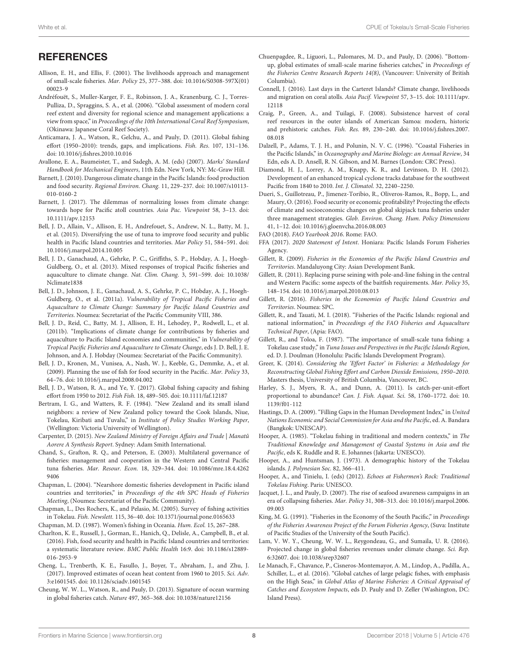#### **REFERENCES**

- <span id="page-7-35"></span>Allison, E. H., and Ellis, F. (2001). The livelihoods approach and management of small-scale fisheries. Mar. Policy 25, 377–388. [doi: 10.1016/S0308-597X\(01\)](https://doi.org/10.1016/S0308-597X(01)00023-9) [00023-9](https://doi.org/10.1016/S0308-597X(01)00023-9)
- <span id="page-7-16"></span>Andréfouët, S., Muller-Karger, F. E., Robinson, J. A., Kranenburg, C. J., Torres-Pulliza, D., Spraggins, S. A., et al. (2006). "Global assessment of modern coral reef extent and diversity for regional science and management applications: a view from space," in Proceedings of the 10th International Coral Reef Symposium, (Okinawa: Japanese Coral Reef Society).
- <span id="page-7-25"></span>Anticamara, J. A., Watson, R., Gelchu, A., and Pauly, D. (2011). Global fishing effort (1950–2010): trends, gaps, and implications. Fish. Res. 107, 131–136. [doi: 10.1016/j.fishres.2010.10.016](https://doi.org/10.1016/j.fishres.2010.10.016)
- <span id="page-7-26"></span>Avallone, E. A., Baumeister, T., and Sadegh, A. M. (eds) (2007). Marks' Standard Handbook for Mechanical Engineers, 11th Edn. New York, NY: Mc-Graw Hill.
- <span id="page-7-5"></span>Barnett, J. (2010). Dangerous climate change in the Pacific Islands: food production and food security. Regional Environ. Chang. 11, 229–237. [doi: 10.1007/s10113-](https://doi.org/10.1007/s10113-010-0160-2) [010-0160-2](https://doi.org/10.1007/s10113-010-0160-2)
- <span id="page-7-41"></span>Barnett, J. (2017). The dilemmas of normalizing losses from climate change: towards hope for Pacific atoll countries. Asia Pac. Viewpoint 58, 3–13. [doi:](https://doi.org/10.1111/apv.12153) [10.1111/apv.12153](https://doi.org/10.1111/apv.12153)
- <span id="page-7-11"></span>Bell, J. D., Allain, V., Allison, E. H., Andrefouet, S., Andrew, N. L., Batty, M. J., et al. (2015). Diversifying the use of tuna to improve food security and public health in Pacific Island countries and territories. Mar Policy 51, 584–591. [doi:](https://doi.org/10.1016/j.marpol.2014.10.005) [10.1016/j.marpol.2014.10.005](https://doi.org/10.1016/j.marpol.2014.10.005)
- <span id="page-7-1"></span>Bell, J. D., Ganachaud, A., Gehrke, P. C., Griffiths, S. P., Hobday, A. J., Hoegh-Guldberg, O., et al. (2013). Mixed responses of tropical Pacific fisheries and aquaculture to climate change. Nat. Clim. Chang. 3, 591–599. [doi: 10.1038/](https://doi.org/10.1038/Nclimate1838) [Nclimate1838](https://doi.org/10.1038/Nclimate1838)
- <span id="page-7-43"></span>Bell, J. D., Johnson, J. E., Ganachaud, A. S., Gehrke, P. C., Hobday, A. J., Hoegh-Guldberg, O., et al. (2011a). Vulnerability of Tropical Pacific Fisheries and Aquaculture to Climate Change: Summary for Pacific Island Countries and Territories. Noumea: Secretariat of the Pacific Community VIII, 386.
- <span id="page-7-10"></span>Bell, J. D., Reid, C., Batty, M. J., Allison, E. H., Lehodey, P., Rodwell, L., et al. (2011b). "Implications of climate change for contributions by fisheries and aquaculture to Pacific Island economies and communities," in Vulnerability of Tropical Pacific Fisheries and Aquaculture to Climate Change, eds J. D. Bell, J. E. Johnson, and A. J. Hobday (Noumea: Secretariat of the Pacific Community).
- <span id="page-7-3"></span>Bell, J. D., Kronen, M., Vunisea, A., Nash, W. J., Keeble, G., Demmke, A., et al. (2009). Planning the use of fish for food security in the Pacific. Mar. Policy 33, 64–76. [doi: 10.1016/j.marpol.2008.04.002](https://doi.org/10.1016/j.marpol.2008.04.002)
- <span id="page-7-30"></span>Bell, J. D., Watson, R. A., and Ye, Y. (2017). Global fishing capacity and fishing effort from 1950 to 2012. Fish Fish. 18, 489–505. [doi: 10.1111/faf.12187](https://doi.org/10.1111/faf.12187)
- <span id="page-7-22"></span>Bertram, I. G., and Watters, R. F. (1984). "New Zealand and its small island neighbors: a review of New Zealand policy toward the Cook Islands, Niue, Tokelau, Kiribati and Tuvalu," in Institute of Policy Studies Working Paper, (Wellington: Victoria University of Wellington).
- <span id="page-7-14"></span>Carpenter, D. (2015). New Zealand Ministry of Foreign Affairs and Trade | Manatû Aorere A Synthesis Report. Sydney: Adam Smith International.
- <span id="page-7-4"></span>Chand, S., Grafton, R. Q., and Peterson, E. (2003). Multilateral governance of fisheries: management and cooperation in the Western and Central Pacific tuna fisheries. Mar. Resour. Econ. 18, 329–344. [doi: 10.1086/mre.18.4.4262](https://doi.org/10.1086/mre.18.4.42629406) [9406](https://doi.org/10.1086/mre.18.4.42629406)
- <span id="page-7-24"></span>Chapman, L. (2004). "Nearshore domestic fisheries development in Pacific island countries and territories," in Proceedings of the 4th SPC Heads of Fisheries Meeting, (Noumea: Secretariat of the Pacific Community).
- <span id="page-7-7"></span>Chapman, L., Des Rochers, K., and Pelasio, M. (2005). Survey of fishing activities in Tokelau. Fish. Newslett. 115, 36–40. [doi: 10.1371/journal.pone.0165633](https://doi.org/10.1371/journal.pone.0165633)
- <span id="page-7-29"></span>Chapman, M. D. (1987). Women's fishing in Oceania. Hum. Ecol. 15, 267–288.
- <span id="page-7-2"></span>Charlton, K. E., Russell, J., Gorman, E., Hanich, Q., Delisle, A., Campbell, B., et al. (2016). Fish, food security and health in Pacific Island countries and territories: a systematic literature review. BMC Public Health 16:9. [doi: 10.1186/s12889-](https://doi.org/10.1186/s12889-016-2953-9) [016-2953-9](https://doi.org/10.1186/s12889-016-2953-9)
- <span id="page-7-42"></span>Cheng, L., Trenberth, K. E., Fasullo, J., Boyer, T., Abraham, J., and Zhu, J. (2017). Improved estimates of ocean heat content from 1960 to 2015. Sci. Adv. 3:e1601545. [doi: 10.1126/sciadv.1601545](https://doi.org/10.1126/sciadv.1601545)
- <span id="page-7-0"></span>Cheung, W. W. L., Watson, R., and Pauly, D. (2013). Signature of ocean warming in global fisheries catch. Nature 497, 365–368. [doi: 10.1038/nature12156](https://doi.org/10.1038/nature12156)
- <span id="page-7-15"></span>Chuenpagdee, R., Liguori, L., Palomares, M. D., and Pauly, D. (2006). "Bottomup, global estimates of small-scale marine fisheries catches," in Proceedings of the Fisheries Centre Research Reports 14(8), (Vancouver: University of British Columbia).
- <span id="page-7-40"></span>Connell, J. (2016). Last days in the Carteret Islands? Climate change, livelihoods and migration on coral atolls. Asia Pacif. Viewpoint 57, 3–15. [doi: 10.1111/apv.](https://doi.org/10.1111/apv.12118) [12118](https://doi.org/10.1111/apv.12118)
- <span id="page-7-33"></span>Craig, P., Green, A., and Tuilagi, F. (2008). Subsistence harvest of coral reef resources in the outer islands of American Samoa: modern, historic and prehistoric catches. Fish. Res. 89, 230–240. [doi: 10.1016/j.fishres.2007.](https://doi.org/10.1016/j.fishres.2007.08.018) [08.018](https://doi.org/10.1016/j.fishres.2007.08.018)
- <span id="page-7-32"></span>Dalzell, P., Adams, T. J. H., and Polunin, N. V. C. (1996). "Coastal Fisheries in the Pacific Islands," in Oceanography and Marine Biology: an Annual Review, 34 Edn, eds A. D. Ansell, R. N. Gibson, and M. Barnes (London: CRC Press).
- <span id="page-7-39"></span>Diamond, H. J., Lorrey, A. M., Knapp, K. R., and Levinson, D. H. (2012). Development of an enhanced tropical cyclone tracks database for the southwest Pacific from 1840 to 2010. Int. J. Climatol. 32, 2240–2250.
- <span id="page-7-12"></span>Dueri, S., Guillotreau, P., Jimenez-Toribio, R., Oliveros-Ramos, R., Bopp, L., and Maury, O. (2016). Food security or economic profitability? Projecting the effects of climate and socioeconomic changes on global skipjack tuna fisheries under three management strategies. Glob. Environ. Chang. Hum. Policy Dimensions 41, 1–12. [doi: 10.1016/j.gloenvcha.2016.08.003](https://doi.org/10.1016/j.gloenvcha.2016.08.003)
- <span id="page-7-17"></span>FAO (2018). FAO Yearbook 2016. Rome: FAO.
- <span id="page-7-37"></span>FFA (2017). 2020 Statement of Intent. Honiara: Pacific Islands Forum Fisheries Agency.
- <span id="page-7-8"></span>Gillett, R. (2009). Fisheries in the Economies of the Pacific Island Countries and Territories. Mandaluyong City: Asian Development Bank.
- <span id="page-7-19"></span>Gillett, R. (2011). Replacing purse seining with pole-and-line fishing in the central and Western Pacific: some aspects of the baitfish requirements. Mar. Policy 35, 148–154. [doi: 10.1016/j.marpol.2010.08.013](https://doi.org/10.1016/j.marpol.2010.08.013)
- <span id="page-7-9"></span>Gillett, R. (2016). Fisheries in the Economies of Pacific Island Countries and Territories. Noumea: SPC.
- <span id="page-7-34"></span>Gillett, R., and Tauati, M. I. (2018). "Fisheries of the Pacific Islands: regional and national information," in Proceedings of the FAO Fisheries and Aquaculture Technical Paper, (Apia: FAO).
- <span id="page-7-18"></span>Gillett, R., and Toloa, F. (1987). "The importance of small-scale tuna fishing: a Tokelau case study," in Tuna Issues and Perspectives in the Pacific Islands Region, ed. D. J. Doulman (Honolulu: Pacific Islands Development Program).
- <span id="page-7-21"></span>Greer, K. (2014). Considering the 'Effort Factor' in Fisheries: a Methodology for Reconstructing Global Fishing Effort and Carbon Dioxide Emissions, 1950–2010. Masters thesis, University of British Columbia, Vancouver, BC.
- <span id="page-7-27"></span>Harley, S. J., Myers, R. A., and Dunn, A. (2011). Is catch-per-unit-effort proportional to abundance? Can. J. Fish. Aquat. Sci. 58, 1760–1772. [doi: 10.](https://doi.org/10.1139/f01-112) [1139/f01-112](https://doi.org/10.1139/f01-112)
- <span id="page-7-38"></span>Hastings, D. A. (2009). "Filling Gaps in the Human Development Index," in United Nations Economic and Social Commission for Asia and the Pacific, ed. A. Bandara (Bangkok: UNESCAP).
- <span id="page-7-20"></span>Hooper, A. (1985). "Tokelau fishing in traditional and modern contexts," in The Traditional Knowledge and Management of Coastal Systems in Asia and the Pacific, eds K. Ruddle and R. E. Johannes (Jakarta: UNESCO).
- <span id="page-7-6"></span>Hooper, A., and Huntsman, J. (1973). A demographic history of the Tokelau islands. J. Polynesian Soc. 82, 366–411.
- <span id="page-7-23"></span>Hooper, A., and Tinielu, I. (eds) (2012). Echoes at Fishermen's Rock: Traditional Tokelau Fishing. Paris: UNESCO.
- <span id="page-7-36"></span>Jacquet, J. L., and Pauly, D. (2007). The rise of seafood awareness campaigns in an era of collapsing fisheries. Mar. Policy 31, 308–313. [doi: 10.1016/j.marpol.2006.](https://doi.org/10.1016/j.marpol.2006.09.003) [09.003](https://doi.org/10.1016/j.marpol.2006.09.003)
- <span id="page-7-31"></span>King, M. G. (1991). "Fisheries in the Economy of the South Pacific," in Proceedings of the Fisheries Awareness Project of the Forum Fisheries Agency, (Suva: Institute of Pacific Studies of the University of the South Pacific).
- <span id="page-7-13"></span>Lam, V. W. Y., Cheung, W. W. L., Reygondeau, G., and Sumaila, U. R. (2016). Projected change in global fisheries revenues under climate change. Sci. Rep. 6:32607. [doi: 10.1038/srep32607](https://doi.org/10.1038/srep32607)
- <span id="page-7-28"></span>Le Manach, F., Chavance, P., Cisneros-Montemayor, A. M., Lindop, A., Padilla, A., Schiller, L., et al. (2016). "Global catches of large pelagic fishes, with emphasis on the High Seas," in Global Atlas of Marine Fisheries: A Critical Appraisal of Catches and Ecosystem Impacts, eds D. Pauly and D. Zeller (Washington, DC: Island Press).